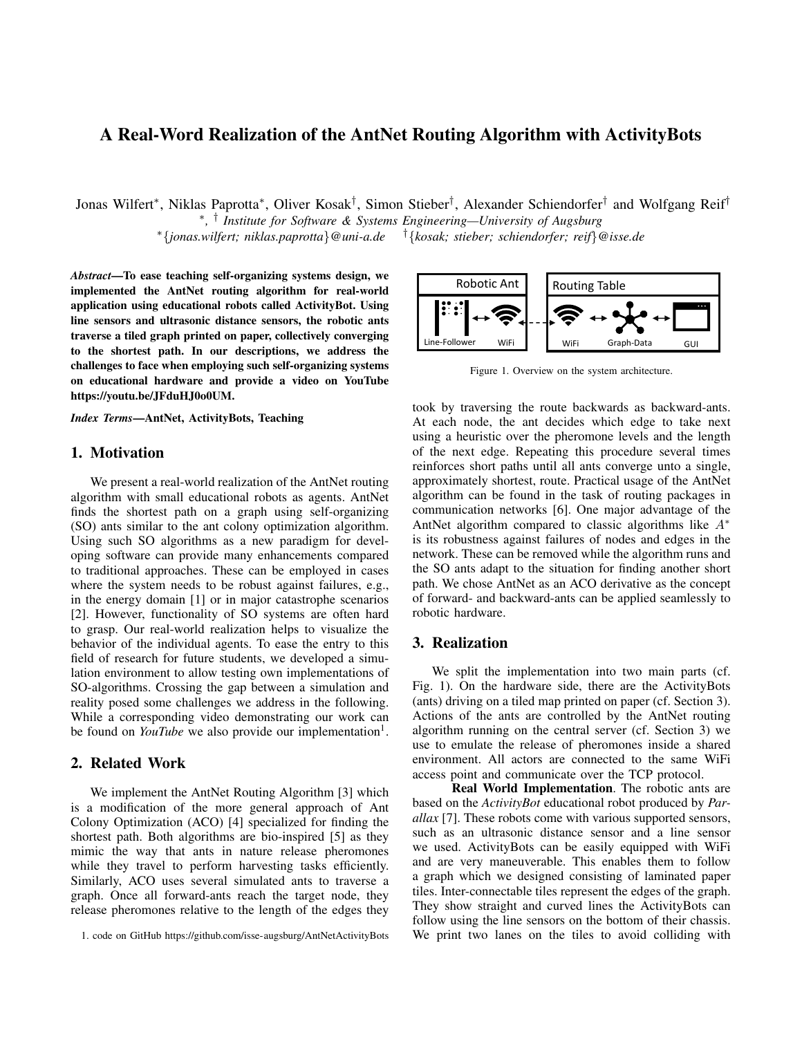# A Real-Word Realization of the AntNet Routing Algorithm with ActivityBots

Jonas Wilfert<sup>∗</sup> , Niklas Paprotta<sup>∗</sup> , Oliver Kosak† , Simon Stieber† , Alexander Schiendorfer† and Wolfgang Reif†

∗ *,* † *Institute for Software & Systems Engineering—University of Augsburg* <sup>∗</sup>{*jonas.wilfert; niklas.paprotta*}*@uni-a.de* †{*kosak; stieber; schiendorfer; reif*}*@isse.de*

*Abstract*—To ease teaching self-organizing systems design, we implemented the AntNet routing algorithm for real-world application using educational robots called ActivityBot. Using line sensors and ultrasonic distance sensors, the robotic ants traverse a tiled graph printed on paper, collectively converging to the shortest path. In our descriptions, we address the challenges to face when employing such self-organizing systems on educational hardware and provide a video on YouTube https://youtu.be/JFduHJ0o0UM.

*Index Terms*—AntNet, ActivityBots, Teaching

### 1. Motivation

We present a real-world realization of the AntNet routing algorithm with small educational robots as agents. AntNet finds the shortest path on a graph using self-organizing (SO) ants similar to the ant colony optimization algorithm. Using such SO algorithms as a new paradigm for developing software can provide many enhancements compared to traditional approaches. These can be employed in cases where the system needs to be robust against failures, e.g., in the energy domain [1] or in major catastrophe scenarios [2]. However, functionality of SO systems are often hard to grasp. Our real-world realization helps to visualize the behavior of the individual agents. To ease the entry to this field of research for future students, we developed a simulation environment to allow testing own implementations of SO-algorithms. Crossing the gap between a simulation and reality posed some challenges we address in the following. While a corresponding video demonstrating our work can be found on *YouTube* we also provide our implementation<sup>1</sup>.

## 2. Related Work

We implement the AntNet Routing Algorithm [3] which is a modification of the more general approach of Ant Colony Optimization (ACO) [4] specialized for finding the shortest path. Both algorithms are bio-inspired [5] as they mimic the way that ants in nature release pheromones while they travel to perform harvesting tasks efficiently. Similarly, ACO uses several simulated ants to traverse a graph. Once all forward-ants reach the target node, they release pheromones relative to the length of the edges they



Figure 1. Overview on the system architecture.

took by traversing the route backwards as backward-ants. At each node, the ant decides which edge to take next using a heuristic over the pheromone levels and the length of the next edge. Repeating this procedure several times reinforces short paths until all ants converge unto a single, approximately shortest, route. Practical usage of the AntNet algorithm can be found in the task of routing packages in communication networks [6]. One major advantage of the AntNet algorithm compared to classic algorithms like A<sup>∗</sup> is its robustness against failures of nodes and edges in the network. These can be removed while the algorithm runs and the SO ants adapt to the situation for finding another short path. We chose AntNet as an ACO derivative as the concept of forward- and backward-ants can be applied seamlessly to robotic hardware.

#### 3. Realization

We split the implementation into two main parts (cf. Fig. 1). On the hardware side, there are the ActivityBots (ants) driving on a tiled map printed on paper (cf. Section 3). Actions of the ants are controlled by the AntNet routing algorithm running on the central server (cf. Section 3) we use to emulate the release of pheromones inside a shared environment. All actors are connected to the same WiFi access point and communicate over the TCP protocol.

Real World Implementation. The robotic ants are based on the *ActivityBot* educational robot produced by *Parallax* [7]. These robots come with various supported sensors, such as an ultrasonic distance sensor and a line sensor we used. ActivityBots can be easily equipped with WiFi and are very maneuverable. This enables them to follow a graph which we designed consisting of laminated paper tiles. Inter-connectable tiles represent the edges of the graph. They show straight and curved lines the ActivityBots can follow using the line sensors on the bottom of their chassis. We print two lanes on the tiles to avoid colliding with

<sup>1.</sup> code on GitHub https://github.com/isse-augsburg/AntNetActivityBots